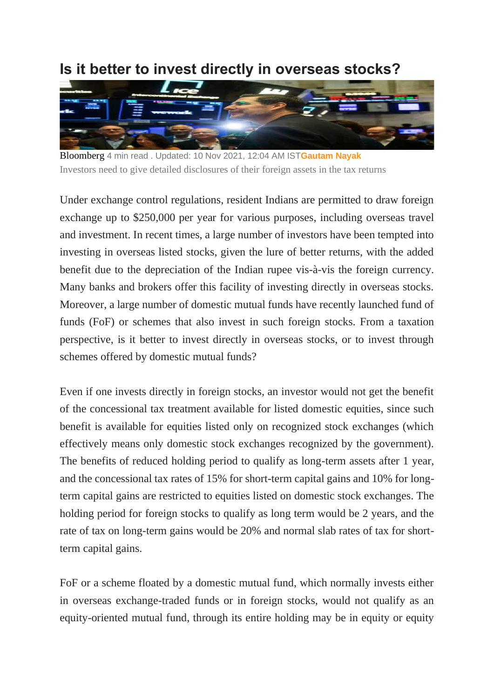## **Is it better to invest directly in overseas stocks?**



Bloomberg 4 min read . Updated: 10 Nov 2021, 12:04 AM IST**[Gautam Nayak](https://www.livemint.com/Search/Link/Author/Gautam-Nayak)** Investors need to give detailed disclosures of their foreign assets in the tax returns

Under exchange control regulations, resident Indians are permitted to draw foreign exchange up to \$250,000 per year for various purposes, including overseas travel and investment. In recent times, a large number of investors have been tempted into investing in overseas listed stocks, given the lure of better returns, with the added benefit due to the depreciation of the Indian rupee vis-à-vis the foreign currency. Many banks and brokers offer this facility of investing directly in overseas stocks. Moreover, a large number of domestic mutual funds have recently launched fund of funds (FoF) or schemes that also invest in such foreign stocks. From a taxation perspective, is it better to invest directly in overseas stocks, or to invest through schemes offered by domestic mutual funds?

Even if one invests directly in foreign stocks, an investor would not get the benefit of the concessional tax treatment available for listed domestic equities, since such benefit is available for equities listed only on recognized stock exchanges (which effectively means only domestic stock exchanges recognized by the government). The benefits of reduced holding period to qualify as long-term assets after 1 year, and the concessional tax rates of 15% for short-term capital gains and 10% for longterm capital gains are restricted to equities listed on domestic stock exchanges. The holding period for foreign stocks to qualify as long term would be 2 years, and the rate of tax on long-term gains would be 20% and normal slab rates of tax for shortterm capital gains.

FoF or a scheme floated by a domestic mutual fund, which normally invests either in overseas exchange-traded funds or in foreign stocks, would not qualify as an equity-oriented mutual fund, through its entire holding may be in equity or equity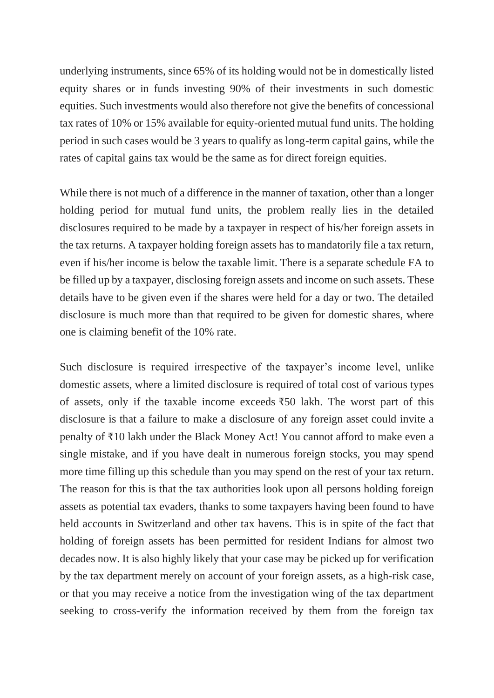underlying instruments, since 65% of its holding would not be in domestically listed equity shares or in funds investing 90% of their investments in such domestic equities. Such investments would also therefore not give the benefits of concessional tax rates of 10% or 15% available for equity-oriented mutual fund units. The holding period in such cases would be 3 years to qualify as long-term capital gains, while the rates of capital gains tax would be the same as for direct foreign equities.

While there is not much of a difference in the manner of taxation, other than a longer holding period for mutual fund units, the problem really lies in the detailed disclosures required to be made by a taxpayer in respect of his/her foreign assets in the tax returns. A taxpayer holding foreign assets has to mandatorily file a tax return, even if his/her income is below the taxable limit. There is a separate schedule FA to be filled up by a taxpayer, disclosing foreign assets and income on such assets. These details have to be given even if the shares were held for a day or two. The detailed disclosure is much more than that required to be given for domestic shares, where one is claiming benefit of the 10% rate.

Such disclosure is required irrespective of the taxpayer's income level, unlike domestic assets, where a limited disclosure is required of total cost of various types of assets, only if the taxable income exceeds ₹50 lakh. The worst part of this disclosure is that a failure to make a disclosure of any foreign asset could invite a penalty of ₹10 lakh under the Black Money Act! You cannot afford to make even a single mistake, and if you have dealt in numerous foreign stocks, you may spend more time filling up this schedule than you may spend on the rest of your tax return. The reason for this is that the tax authorities look upon all persons holding foreign assets as potential tax evaders, thanks to some taxpayers having been found to have held accounts in Switzerland and other tax havens. This is in spite of the fact that holding of foreign assets has been permitted for resident Indians for almost two decades now. It is also highly likely that your case may be picked up for verification by the tax department merely on account of your foreign assets, as a high-risk case, or that you may receive a notice from the investigation wing of the tax department seeking to cross-verify the information received by them from the foreign tax